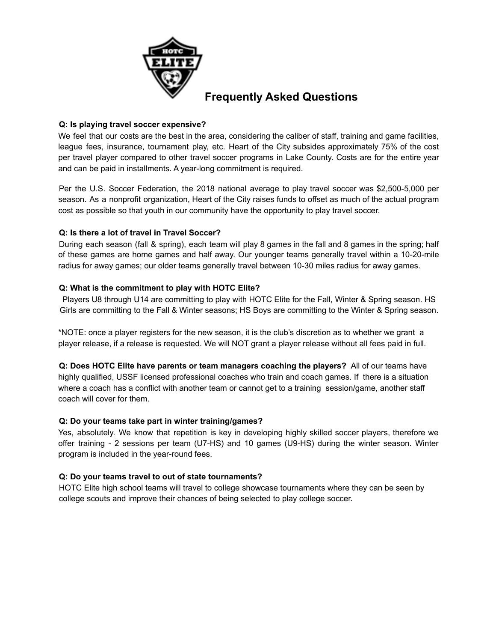

# **Frequently Asked Questions**

# **Q: Is playing travel soccer expensive?**

We feel that our costs are the best in the area, considering the caliber of staff, training and game facilities, league fees, insurance, tournament play, etc. Heart of the City subsides approximately 75% of the cost per travel player compared to other travel soccer programs in Lake County. Costs are for the entire year and can be paid in installments. A year-long commitment is required.

Per the U.S. Soccer Federation, the 2018 national average to play travel soccer was \$2,500-5,000 per season. As a nonprofit organization, Heart of the City raises funds to offset as much of the actual program cost as possible so that youth in our community have the opportunity to play travel soccer.

# **Q: Is there a lot of travel in Travel Soccer?**

During each season (fall & spring), each team will play 8 games in the fall and 8 games in the spring; half of these games are home games and half away. Our younger teams generally travel within a 10-20-mile radius for away games; our older teams generally travel between 10-30 miles radius for away games.

#### **Q: What is the commitment to play with HOTC Elite?**

Players U8 through U14 are committing to play with HOTC Elite for the Fall, Winter & Spring season. HS Girls are committing to the Fall & Winter seasons; HS Boys are committing to the Winter & Spring season.

\*NOTE: once a player registers for the new season, it is the club's discretion as to whether we grant a player release, if a release is requested. We will NOT grant a player release without all fees paid in full.

**Q: Does HOTC Elite have parents or team managers coaching the players?** All of our teams have highly qualified, USSF licensed professional coaches who train and coach games. If there is a situation where a coach has a conflict with another team or cannot get to a training session/game, another staff coach will cover for them.

#### **Q: Do your teams take part in winter training/games?**

Yes, absolutely. We know that repetition is key in developing highly skilled soccer players, therefore we offer training - 2 sessions per team (U7-HS) and 10 games (U9-HS) during the winter season. Winter program is included in the year-round fees.

#### **Q: Do your teams travel to out of state tournaments?**

HOTC Elite high school teams will travel to college showcase tournaments where they can be seen by college scouts and improve their chances of being selected to play college soccer.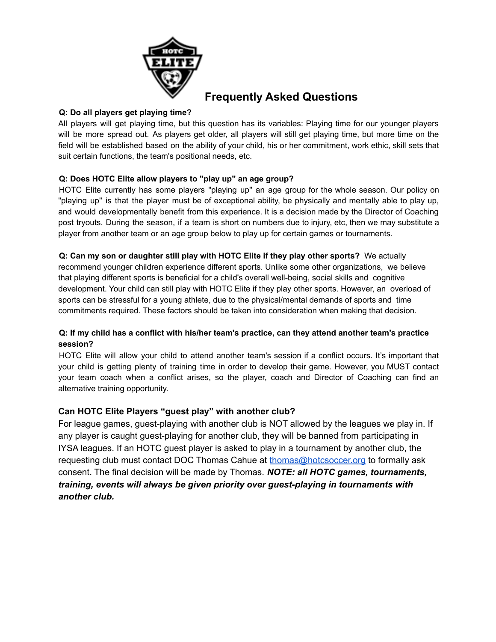

# **Frequently Asked Questions**

# **Q: Do all players get playing time?**

All players will get playing time, but this question has its variables: Playing time for our younger players will be more spread out. As players get older, all players will still get playing time, but more time on the field will be established based on the ability of your child, his or her commitment, work ethic, skill sets that suit certain functions, the team's positional needs, etc.

# **Q: Does HOTC Elite allow players to "play up" an age group?**

HOTC Elite currently has some players "playing up" an age group for the whole season. Our policy on "playing up" is that the player must be of exceptional ability, be physically and mentally able to play up, and would developmentally benefit from this experience. It is a decision made by the Director of Coaching post tryouts. During the season, if a team is short on numbers due to injury, etc, then we may substitute a player from another team or an age group below to play up for certain games or tournaments.

# **Q: Can my son or daughter still play with HOTC Elite if they play other sports?** We actually

recommend younger children experience different sports. Unlike some other organizations, we believe that playing different sports is beneficial for a child's overall well-being, social skills and cognitive development. Your child can still play with HOTC Elite if they play other sports. However, an overload of sports can be stressful for a young athlete, due to the physical/mental demands of sports and time commitments required. These factors should be taken into consideration when making that decision.

# **Q: If my child has a conflict with his/her team's practice, can they attend another team's practice session?**

HOTC Elite will allow your child to attend another team's session if a conflict occurs. It's important that your child is getting plenty of training time in order to develop their game. However, you MUST contact your team coach when a conflict arises, so the player, coach and Director of Coaching can find an alternative training opportunity.

# **Can HOTC Elite Players "guest play" with another club?**

For league games, guest-playing with another club is NOT allowed by the leagues we play in. If any player is caught guest-playing for another club, they will be banned from participating in IYSA leagues. If an HOTC guest player is asked to play in a tournament by another club, the requesting club must contact DOC Thomas Cahue at [thomas@hotcsoccer.org](mailto:thomas@hotcsoccer.org) to formally ask consent. The final decision will be made by Thomas. *NOTE: all HOTC games, tournaments, training, events will always be given priority over guest-playing in tournaments with another club.*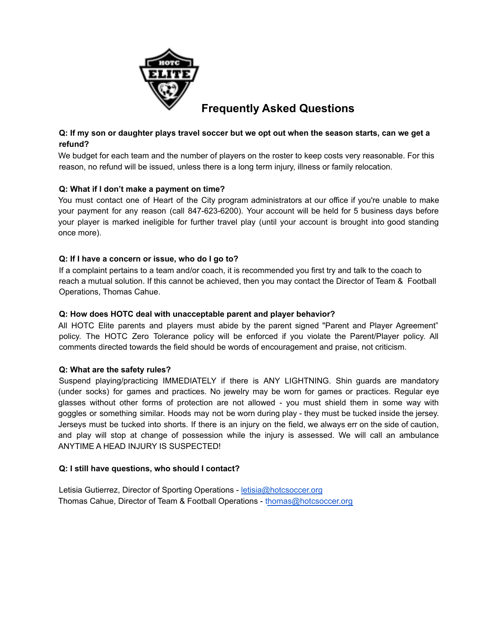

# **Frequently Asked Questions**

# Q: If my son or daughter plays travel soccer but we opt out when the season starts, can we get a **refund?**

We budget for each team and the number of players on the roster to keep costs very reasonable. For this reason, no refund will be issued, unless there is a long term injury, illness or family relocation.

# **Q: What if I don't make a payment on time?**

You must contact one of Heart of the City program administrators at our office if you're unable to make your payment for any reason (call 847-623-6200). Your account will be held for 5 business days before your player is marked ineligible for further travel play (until your account is brought into good standing once more).

# **Q: If I have a concern or issue, who do I go to?**

If a complaint pertains to a team and/or coach, it is recommended you first try and talk to the coach to reach a mutual solution. If this cannot be achieved, then you may contact the Director of Team & Football Operations, Thomas Cahue.

# **Q: How does HOTC deal with unacceptable parent and player behavior?**

All HOTC Elite parents and players must abide by the parent signed "Parent and Player Agreement" policy. The HOTC Zero Tolerance policy will be enforced if you violate the Parent/Player policy. All comments directed towards the field should be words of encouragement and praise, not criticism.

#### **Q: What are the safety rules?**

Suspend playing/practicing IMMEDIATELY if there is ANY LIGHTNING. Shin guards are mandatory (under socks) for games and practices. No jewelry may be worn for games or practices. Regular eye glasses without other forms of protection are not allowed - you must shield them in some way with goggles or something similar. Hoods may not be worn during play - they must be tucked inside the jersey. Jerseys must be tucked into shorts. If there is an injury on the field, we always err on the side of caution, and play will stop at change of possession while the injury is assessed. We will call an ambulance ANYTIME A HEAD INJURY IS SUSPECTED!

#### **Q: I still have questions, who should I contact?**

Letisia Gutierrez, Director of Sporting Operations - letisia@hotcsoccer.org Thomas Cahue, Director of Team & Football Operations - thomas@hotcsoccer.org